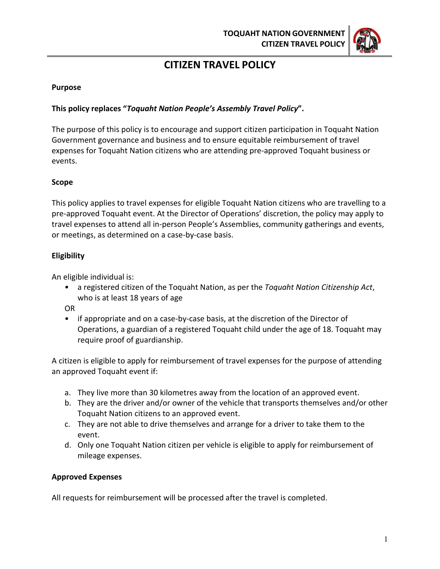

# **CITIZEN TRAVEL POLICY**

#### **Purpose**

# **This policy replaces "***Toquaht Nation People's Assembly Travel Policy***".**

The purpose of this policy is to encourage and support citizen participation in Toquaht Nation Government governance and business and to ensure equitable reimbursement of travel expenses for Toquaht Nation citizens who are attending pre-approved Toquaht business or events.

# **Scope**

This policy applies to travel expenses for eligible Toquaht Nation citizens who are travelling to a pre-approved Toquaht event. At the Director of Operations' discretion, the policy may apply to travel expenses to attend all in-person People's Assemblies, community gatherings and events, or meetings, as determined on a case-by-case basis.

#### **Eligibility**

An eligible individual is:

• a registered citizen of the Toquaht Nation, as per the *Toquaht Nation Citizenship Act*, who is at least 18 years of age

OR

• if appropriate and on a case-by-case basis, at the discretion of the Director of Operations, a guardian of a registered Toquaht child under the age of 18. Toquaht may require proof of guardianship.

A citizen is eligible to apply for reimbursement of travel expenses for the purpose of attending an approved Toquaht event if:

- a. They live more than 30 kilometres away from the location of an approved event.
- b. They are the driver and/or owner of the vehicle that transports themselves and/or other Toquaht Nation citizens to an approved event.
- c. They are not able to drive themselves and arrange for a driver to take them to the event.
- d. Only one Toquaht Nation citizen per vehicle is eligible to apply for reimbursement of mileage expenses.

#### **Approved Expenses**

All requests for reimbursement will be processed after the travel is completed.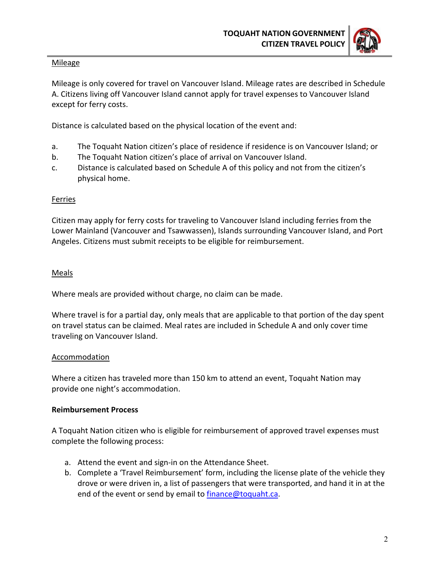

#### **Mileage**

Mileage is only covered for travel on Vancouver Island. Mileage rates are described in Schedule A. Citizens living off Vancouver Island cannot apply for travel expenses to Vancouver Island except for ferry costs.

Distance is calculated based on the physical location of the event and:

- a. The Toquaht Nation citizen's place of residence if residence is on Vancouver Island; or
- b. The Toquaht Nation citizen's place of arrival on Vancouver Island.
- c. Distance is calculated based on Schedule A of this policy and not from the citizen's physical home.

# **Ferries**

Citizen may apply for ferry costs for traveling to Vancouver Island including ferries from the Lower Mainland (Vancouver and Tsawwassen), Islands surrounding Vancouver Island, and Port Angeles. Citizens must submit receipts to be eligible for reimbursement.

# Meals

Where meals are provided without charge, no claim can be made.

Where travel is for a partial day, only meals that are applicable to that portion of the day spent on travel status can be claimed. Meal rates are included in Schedule A and only cover time traveling on Vancouver Island.

# Accommodation

Where a citizen has traveled more than 150 km to attend an event, Toquaht Nation may provide one night's accommodation.

# **Reimbursement Process**

A Toquaht Nation citizen who is eligible for reimbursement of approved travel expenses must complete the following process:

- a. Attend the event and sign-in on the Attendance Sheet.
- b. Complete a 'Travel Reimbursement' form, including the license plate of the vehicle they drove or were driven in, a list of passengers that were transported, and hand it in at the end of the event or send by email t[o finance@toquaht.ca.](mailto:finance@toquaht.ca)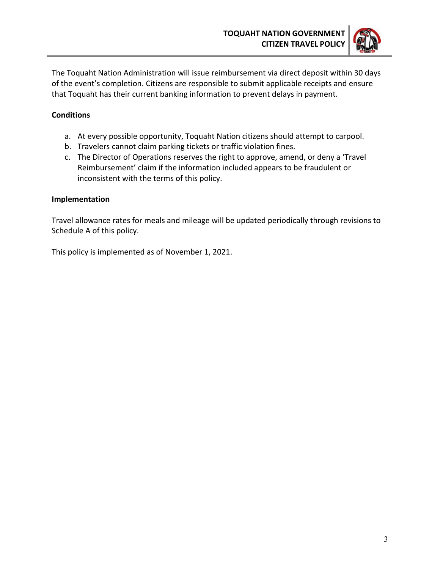

The Toquaht Nation Administration will issue reimbursement via direct deposit within 30 days of the event's completion. Citizens are responsible to submit applicable receipts and ensure that Toquaht has their current banking information to prevent delays in payment.

# **Conditions**

- a. At every possible opportunity, Toquaht Nation citizens should attempt to carpool.
- b. Travelers cannot claim parking tickets or traffic violation fines.
- c. The Director of Operations reserves the right to approve, amend, or deny a 'Travel Reimbursement' claim if the information included appears to be fraudulent or inconsistent with the terms of this policy.

# **Implementation**

Travel allowance rates for meals and mileage will be updated periodically through revisions to Schedule A of this policy.

This policy is implemented as of November 1, 2021.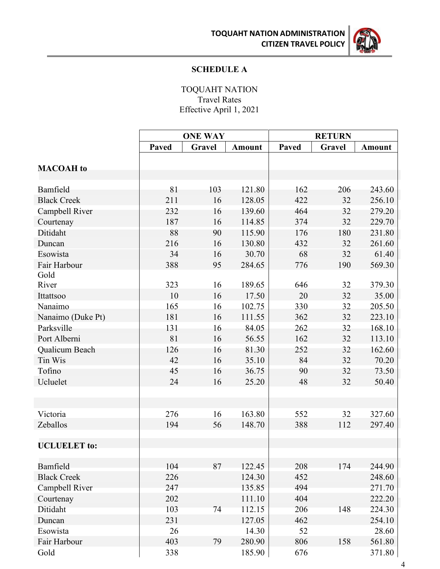**TOQUAHT NATION ADMINISTRATION CITIZEN TRAVEL POLICY**



# **SCHEDULE A**

TOQUAHT NATION Travel Rates Effective April 1, 2021

|                     | <b>ONE WAY</b> |        |               | <b>RETURN</b> |        |               |  |
|---------------------|----------------|--------|---------------|---------------|--------|---------------|--|
|                     | Paved          | Gravel | <b>Amount</b> | Paved         | Gravel | <b>Amount</b> |  |
|                     |                |        |               |               |        |               |  |
| <b>MACOAH</b> to    |                |        |               |               |        |               |  |
|                     |                |        |               |               |        |               |  |
| Bamfield            | 81             | 103    | 121.80        | 162           | 206    | 243.60        |  |
| <b>Black Creek</b>  | 211            | 16     | 128.05        | 422           | 32     | 256.10        |  |
| Campbell River      | 232            | 16     | 139.60        | 464           | 32     | 279.20        |  |
| Courtenay           | 187            | 16     | 114.85        | 374           | 32     | 229.70        |  |
| Ditidaht            | 88             | 90     | 115.90        | 176           | 180    | 231.80        |  |
| Duncan              | 216            | 16     | 130.80        | 432           | 32     | 261.60        |  |
| Esowista            | 34             | 16     | 30.70         | 68            | 32     | 61.40         |  |
| Fair Harbour        | 388            | 95     | 284.65        | 776           | 190    | 569.30        |  |
| Gold                |                |        |               |               |        |               |  |
| River               | 323            | 16     | 189.65        | 646           | 32     | 379.30        |  |
| Ittattsoo           | 10             | 16     | 17.50         | 20            | 32     | 35.00         |  |
| Nanaimo             | 165            | 16     | 102.75        | 330           | 32     | 205.50        |  |
| Nanaimo (Duke Pt)   | 181            | 16     | 111.55        | 362           | 32     | 223.10        |  |
| Parksville          | 131            | 16     | 84.05         | 262           | 32     | 168.10        |  |
| Port Alberni        | 81             | 16     | 56.55         | 162           | 32     | 113.10        |  |
| Qualicum Beach      | 126            | 16     | 81.30         | 252           | 32     | 162.60        |  |
| Tin Wis             | 42             | 16     | 35.10         | 84            | 32     | 70.20         |  |
| Tofino              | 45             | 16     | 36.75         | 90            | 32     | 73.50         |  |
| Ucluelet            | 24             | 16     | 25.20         | 48            | 32     | 50.40         |  |
|                     |                |        |               |               |        |               |  |
|                     |                |        |               |               |        |               |  |
| Victoria            | 276            | 16     | 163.80        | 552           | 32     | 327.60        |  |
| Zeballos            | 194            | 56     | 148.70        | 388           | 112    | 297.40        |  |
|                     |                |        |               |               |        |               |  |
| <b>UCLUELET</b> to: |                |        |               |               |        |               |  |
| Bamfield            | 104            | 87     | 122.45        | 208           | 174    | 244.90        |  |
| <b>Black Creek</b>  | 226            |        | 124.30        | 452           |        | 248.60        |  |
| Campbell River      | 247            |        | 135.85        | 494           |        | 271.70        |  |
| Courtenay           | 202            |        | 111.10        | 404           |        | 222.20        |  |
| Ditidaht            | 103            | 74     | 112.15        | 206           | 148    | 224.30        |  |
| Duncan              | 231            |        | 127.05        | 462           |        | 254.10        |  |
| Esowista            | 26             |        | 14.30         | 52            |        | 28.60         |  |
| Fair Harbour        | 403            | 79     | 280.90        | 806           | 158    | 561.80        |  |
| Gold                | 338            |        | 185.90        | 676           |        | 371.80        |  |